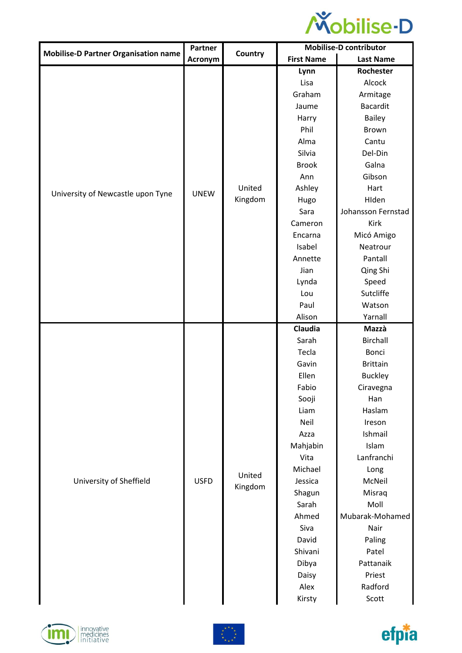

|                                             | Partner     |                                                                                                                                                                                                        | <b>Mobilise-D contributor</b> |                    |
|---------------------------------------------|-------------|--------------------------------------------------------------------------------------------------------------------------------------------------------------------------------------------------------|-------------------------------|--------------------|
| <b>Mobilise-D Partner Organisation name</b> | Acronym     | Country                                                                                                                                                                                                | <b>First Name</b>             | <b>Last Name</b>   |
|                                             |             |                                                                                                                                                                                                        | Lynn                          | Rochester          |
|                                             |             |                                                                                                                                                                                                        | Lisa                          | Alcock             |
|                                             |             |                                                                                                                                                                                                        | Graham                        | Armitage           |
|                                             |             |                                                                                                                                                                                                        | Jaume                         | <b>Bacardit</b>    |
|                                             |             |                                                                                                                                                                                                        |                               | <b>Bailey</b>      |
|                                             |             |                                                                                                                                                                                                        | Phil                          | Brown              |
|                                             |             | Harry<br>Alma<br>Silvia<br><b>Brook</b><br>Ann<br>United<br>Ashley<br>Kingdom<br>Hugo<br>Sara<br>Cameron<br>Encarna<br>Isabel<br>Annette<br>Jian<br>Lynda<br>Lou<br>Paul<br>Alison<br>Claudia<br>Sarah | Cantu                         |                    |
|                                             |             |                                                                                                                                                                                                        |                               | Del-Din            |
|                                             |             |                                                                                                                                                                                                        |                               | Galna              |
|                                             |             |                                                                                                                                                                                                        |                               | Gibson             |
|                                             | <b>UNEW</b> |                                                                                                                                                                                                        |                               | Hart               |
| University of Newcastle upon Tyne           |             |                                                                                                                                                                                                        |                               | HIden              |
|                                             |             |                                                                                                                                                                                                        |                               | Johansson Fernstad |
|                                             |             |                                                                                                                                                                                                        | Kirk                          |                    |
|                                             |             |                                                                                                                                                                                                        | Micó Amigo                    |                    |
|                                             |             | Neatrour                                                                                                                                                                                               |                               |                    |
|                                             |             |                                                                                                                                                                                                        |                               | Pantall            |
|                                             |             |                                                                                                                                                                                                        | Qing Shi                      |                    |
|                                             |             |                                                                                                                                                                                                        | Speed                         |                    |
|                                             |             |                                                                                                                                                                                                        |                               | Sutcliffe          |
|                                             |             |                                                                                                                                                                                                        |                               | Watson             |
|                                             |             |                                                                                                                                                                                                        |                               | Yarnall            |
|                                             |             |                                                                                                                                                                                                        |                               | Mazzà              |
|                                             |             |                                                                                                                                                                                                        |                               | <b>Birchall</b>    |
|                                             |             |                                                                                                                                                                                                        | Tecla                         | Bonci              |
|                                             |             | Gavin                                                                                                                                                                                                  | <b>Brittain</b>               |                    |
|                                             |             |                                                                                                                                                                                                        | Ellen                         |                    |
|                                             |             |                                                                                                                                                                                                        |                               | <b>Buckley</b>     |
|                                             |             |                                                                                                                                                                                                        | Fabio                         |                    |
|                                             |             |                                                                                                                                                                                                        | Sooji                         | Ciravegna<br>Han   |
|                                             |             |                                                                                                                                                                                                        | Liam                          | Haslam             |
|                                             |             |                                                                                                                                                                                                        | Neil                          | Ireson             |
|                                             |             |                                                                                                                                                                                                        | Azza                          | Ishmail            |
|                                             |             |                                                                                                                                                                                                        | Mahjabin                      | Islam              |
|                                             |             |                                                                                                                                                                                                        | Vita                          | Lanfranchi         |
|                                             |             |                                                                                                                                                                                                        | Michael                       | Long               |
| University of Sheffield                     | <b>USFD</b> | United                                                                                                                                                                                                 | Jessica                       | McNeil             |
|                                             |             | Kingdom                                                                                                                                                                                                | Shagun                        | Misraq             |
|                                             |             |                                                                                                                                                                                                        | Sarah                         | Moll               |
|                                             |             |                                                                                                                                                                                                        | Ahmed                         | Mubarak-Mohamed    |
|                                             |             |                                                                                                                                                                                                        | Siva                          | Nair               |
|                                             |             |                                                                                                                                                                                                        | David                         | Paling             |
|                                             |             |                                                                                                                                                                                                        | Shivani                       | Patel              |
|                                             |             |                                                                                                                                                                                                        | Dibya                         | Pattanaik          |
|                                             |             |                                                                                                                                                                                                        | Daisy                         | Priest             |
|                                             |             |                                                                                                                                                                                                        | Alex                          | Radford            |





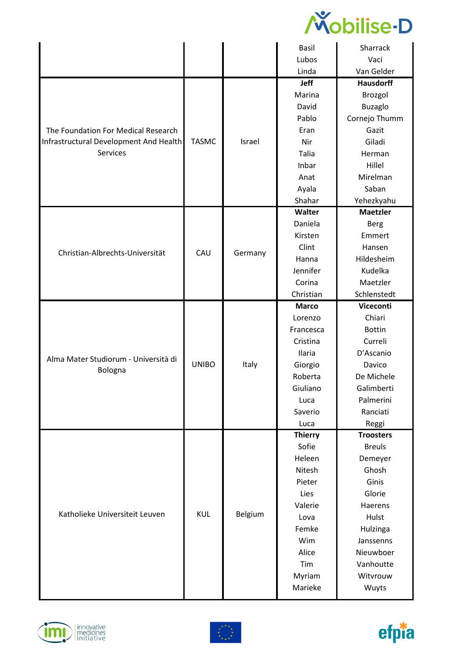

|                                        |              |         | Basil          | Sharrack         |
|----------------------------------------|--------------|---------|----------------|------------------|
|                                        |              |         | Lubos          | Vaci             |
|                                        |              |         | Linda          | Van Gelder       |
|                                        |              |         | Jeff           | <b>Hausdorff</b> |
|                                        |              |         | Marina         | Brozgol          |
|                                        |              |         | David          | <b>Buzaglo</b>   |
|                                        |              |         | Pablo          | Cornejo Thumm    |
| The Foundation For Medical Research    |              |         | Eran           | Gazit            |
| Infrastructural Development And Health | <b>TASMC</b> | Israel  | Nir            | Giladi           |
| Services                               |              |         | <b>Talia</b>   | Herman           |
|                                        |              |         | Inbar          | Hillel           |
|                                        |              |         | Anat           | Mirelman         |
|                                        |              |         | Ayala          | Saban            |
|                                        |              |         | Shahar         | Yehezkyahu       |
|                                        |              |         | Walter         | <b>Maetzler</b>  |
|                                        |              |         | Daniela        | <b>Berg</b>      |
|                                        |              |         | Kirsten        | Emmert           |
| Christian-Albrechts-Universität        | CAU          |         | Clint          | Hansen           |
|                                        |              | Germany | Hanna          | Hildesheim       |
|                                        |              |         | Jennifer       | Kudelka          |
|                                        |              |         | Corina         | Maetzler         |
|                                        |              |         | Christian      | Schlenstedt      |
|                                        |              |         | <b>Marco</b>   | Viceconti        |
|                                        |              |         | Lorenzo        | Chiari           |
|                                        |              |         | Francesca      | <b>Bottin</b>    |
|                                        |              |         | Cristina       | Curreli          |
| Alma Mater Studiorum - Università di   |              |         | Ilaria         | D'Ascanio        |
| Bologna                                | <b>UNIBO</b> | Italy   | Giorgio        | Davico           |
|                                        |              |         | Roberta        | De Michele       |
|                                        |              |         | Giuliano       | Galimberti       |
|                                        |              |         | Luca           | Palmerini        |
|                                        |              |         | Saverio        | Ranciati         |
|                                        |              |         | Luca           | Reggi            |
|                                        |              |         | <b>Thierry</b> | <b>Troosters</b> |
|                                        |              |         | Sofie          | <b>Breuls</b>    |
|                                        |              |         | Heleen         | Demeyer          |
|                                        |              |         | <b>Nitesh</b>  | Ghosh            |
|                                        |              |         | Pieter         | Ginis            |
|                                        |              |         | Lies           | Glorie           |
|                                        |              |         | Valerie        | Haerens          |
| Katholieke Universiteit Leuven         | <b>KUL</b>   | Belgium | Lova           | Hulst            |
|                                        |              |         | Femke          | Hulzinga         |
|                                        |              |         | Wim            | Janssenns        |
|                                        |              |         | Alice          | Nieuwboer        |
|                                        |              |         | Tim            | Vanhoutte        |
|                                        |              |         | Myriam         | Witvrouw         |
|                                        |              |         | Marieke        | Wuyts            |





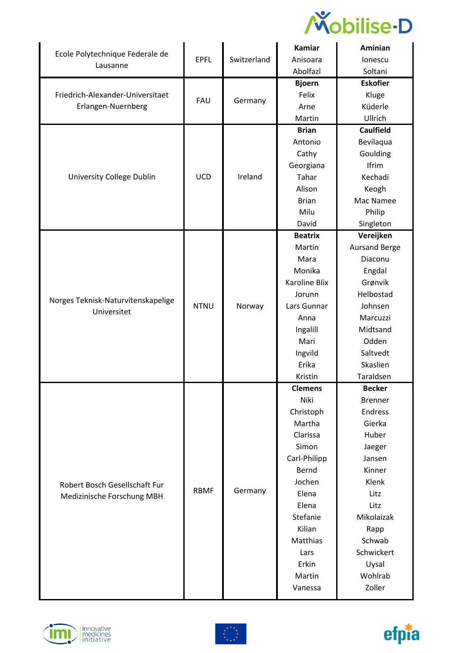

| Ecole Polytechnique Federale de                        |             |             | Kamiar         | Aminian              |
|--------------------------------------------------------|-------------|-------------|----------------|----------------------|
| Lausanne                                               | <b>EPFL</b> | Switzerland | Anisoara       | lonescu              |
|                                                        |             |             | Abolfazl       | Soltani              |
| Friedrich-Alexander-Universitaet<br>Erlangen-Nuernberg |             |             | <b>Bjoern</b>  | <b>Eskofier</b>      |
|                                                        | <b>FAU</b>  |             | Felix          | Kluge                |
|                                                        |             | Germany     | Arne           | Küderle              |
|                                                        |             |             | Martin         | Ullrich              |
|                                                        |             |             | <b>Brian</b>   | <b>Caulfield</b>     |
|                                                        |             |             | Antonio        | Bevilaqua            |
|                                                        |             |             | Cathy          | Goulding             |
|                                                        |             |             | Georgiana      | Ifrim                |
| University College Dublin                              | <b>UCD</b>  | Ireland     | Tahar          | Kechadi              |
|                                                        |             |             | Alison         | Keogh                |
|                                                        |             |             | <b>Brian</b>   | Mac Namee            |
|                                                        |             |             | Milu           | Philip               |
|                                                        |             |             | David          | Singleton            |
|                                                        |             |             | <b>Beatrix</b> | Vereijken            |
|                                                        |             |             | Martin         | <b>Aursand Berge</b> |
|                                                        |             |             | Mara           | Diaconu              |
|                                                        |             |             | Monika         | Engdal               |
|                                                        |             |             | Karoline Blix  | Grønvik              |
|                                                        |             |             | Jorunn         | Helbostad            |
| Norges Teknisk-Naturvitenskapelige<br>Universitet      | <b>NTNU</b> | Norway      | Lars Gunnar    | Johnsen              |
|                                                        |             |             | Anna           | Marcuzzi             |
|                                                        |             |             | Ingalill       | Midtsand             |
|                                                        |             |             | Mari           | Odden                |
|                                                        |             |             | Ingvild        | Saltvedt             |
|                                                        |             |             | Erika          | Skaslien             |
|                                                        |             |             | Kristin        | Taraldsen            |
|                                                        |             |             | <b>Clemens</b> | <b>Becker</b>        |
|                                                        |             |             | Niki           | <b>Brenner</b>       |
|                                                        |             |             | Christoph      | Endress              |
|                                                        |             |             | Martha         | Gierka               |
|                                                        |             |             | Clarissa       | Huber                |
|                                                        |             |             | Simon          | Jaeger               |
|                                                        |             |             | Carl-Philipp   | Jansen               |
|                                                        |             |             | Bernd          | Kinner               |
| Robert Bosch Gesellschaft Fur                          |             |             | Jochen         | Klenk                |
| Medizinische Forschung MBH                             | <b>RBMF</b> | Germany     | Elena          | Litz                 |
|                                                        |             |             | Elena          | Litz                 |
|                                                        |             |             | Stefanie       | Mikolaizak           |
|                                                        |             |             | Kilian         | Rapp                 |
|                                                        |             |             | Matthias       | Schwab               |
|                                                        |             |             | Lars           | Schwickert           |
|                                                        |             |             | Erkin          | Uysal                |
|                                                        |             |             | Martin         | Wohlrab              |
|                                                        |             |             | Vanessa        | Zoller               |





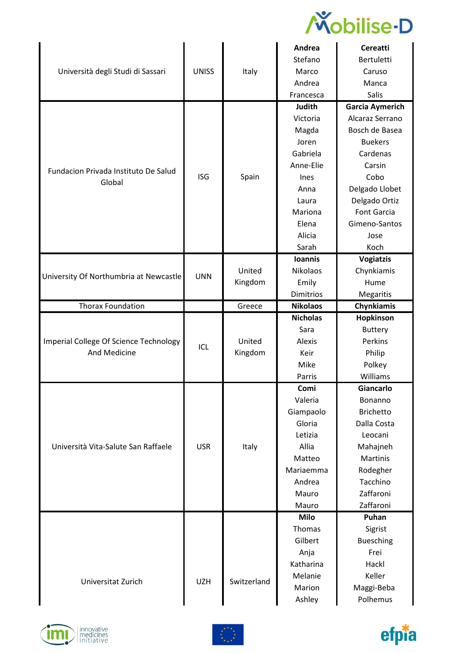

|                                        |              |             | Andrea          | <b>Cereatti</b>        |
|----------------------------------------|--------------|-------------|-----------------|------------------------|
|                                        |              |             | Stefano         | <b>Bertuletti</b>      |
| Università degli Studi di Sassari      | <b>UNISS</b> | Italy       | Marco           | Caruso                 |
|                                        |              |             | Andrea          | Manca                  |
|                                        |              |             | Francesca       | <b>Salis</b>           |
|                                        |              |             | <b>Judith</b>   | <b>Garcia Aymerich</b> |
|                                        |              |             | Victoria        | Alcaraz Serrano        |
|                                        |              |             | Magda           | Bosch de Basea         |
|                                        |              |             | Joren           | <b>Buekers</b>         |
|                                        |              |             | Gabriela        | Cardenas               |
| Fundacion Privada Instituto De Salud   |              |             | Anne-Elie       | Carsin                 |
| Global                                 | <b>ISG</b>   | Spain       | Ines            | Cobo                   |
|                                        |              |             | Anna            | Delgado Llobet         |
|                                        |              |             | Laura           | Delgado Ortiz          |
|                                        |              |             | Mariona         | <b>Font Garcia</b>     |
|                                        |              |             | Elena           | Gimeno-Santos          |
|                                        |              |             | Alicia          | Jose                   |
|                                        |              |             | Sarah           | Koch                   |
|                                        |              |             | <b>Ioannis</b>  | <b>Vogiatzis</b>       |
|                                        | <b>UNN</b>   | United      | Nikolaos        | Chynkiamis             |
| University Of Northumbria at Newcastle |              | Kingdom     | Emily           | Hume                   |
|                                        |              |             | Dimitrios       | Megaritis              |
| <b>Thorax Foundation</b>               |              | Greece      | <b>Nikolaos</b> | Chynkiamis             |
|                                        |              |             | <b>Nicholas</b> | Hopkinson              |
|                                        |              |             | Sara            | <b>Buttery</b>         |
| Imperial College Of Science Technology | ICL          | United      | Alexis          | Perkins                |
| <b>And Medicine</b>                    |              | Kingdom     | Keir            | Philip                 |
|                                        |              |             | Mike            | Polkey                 |
|                                        |              |             | Parris          | Williams               |
|                                        |              |             | Comi            | Giancarlo              |
|                                        |              |             | Valeria         | Bonanno                |
|                                        |              |             | Giampaolo       | <b>Brichetto</b>       |
|                                        |              |             | Gloria          | Dalla Costa            |
|                                        |              |             | Letizia         | Leocani                |
| Università Vita-Salute San Raffaele    | <b>USR</b>   | Italy       | Allia           | Mahajneh               |
|                                        |              |             | Matteo          | <b>Martinis</b>        |
|                                        |              |             | Mariaemma       | Rodegher               |
|                                        |              |             | Andrea          | Tacchino               |
|                                        |              |             | Mauro           | Zaffaroni              |
|                                        |              |             | Mauro           | Zaffaroni              |
|                                        |              |             | <b>Milo</b>     | Puhan                  |
|                                        |              |             | Thomas          | Sigrist                |
|                                        |              |             | Gilbert         | <b>Buesching</b>       |
|                                        |              |             | Anja            | Frei                   |
|                                        |              |             |                 |                        |
|                                        |              |             | Katharina       | Hackl                  |
|                                        |              |             | Melanie         | Keller                 |
| Universitat Zurich                     | <b>UZH</b>   | Switzerland | Marion          | Maggi-Beba             |





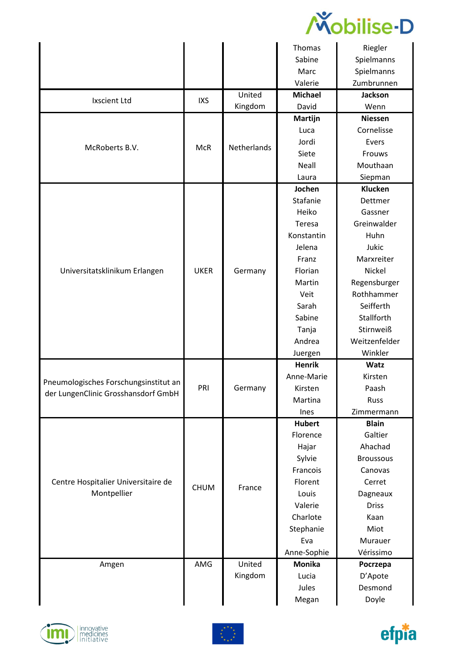

|                                       |             |             | Thomas         | Riegler          |
|---------------------------------------|-------------|-------------|----------------|------------------|
|                                       |             |             | Sabine         | Spielmanns       |
|                                       |             |             | Marc           | Spielmanns       |
|                                       |             |             | Valerie        | Zumbrunnen       |
|                                       |             | United      | <b>Michael</b> | <b>Jackson</b>   |
| <b>Ixscient Ltd</b>                   | <b>IXS</b>  | Kingdom     | David          | Wenn             |
|                                       |             |             | Martijn        | <b>Niessen</b>   |
|                                       |             |             | Luca           | Cornelisse       |
| McRoberts B.V.                        | <b>McR</b>  | Netherlands | Jordi          | Evers            |
|                                       |             |             | Siete          | Frouws           |
|                                       |             |             | Neall          | Mouthaan         |
|                                       |             |             | Laura          | Siepman          |
|                                       |             |             | Jochen         | Klucken          |
|                                       |             |             | Stafanie       | Dettmer          |
|                                       |             |             | Heiko          | Gassner          |
|                                       |             |             | Teresa         | Greinwalder      |
|                                       |             |             | Konstantin     | Huhn             |
|                                       |             |             | Jelena         | Jukic            |
|                                       |             |             | Franz          | Marxreiter       |
| Universitatsklinikum Erlangen         | <b>UKER</b> | Germany     | Florian        | Nickel           |
|                                       |             |             | Martin         | Regensburger     |
|                                       |             |             | Veit           | Rothhammer       |
|                                       |             |             | Sarah          | Seifferth        |
|                                       |             |             | Sabine         | Stallforth       |
|                                       |             |             | Tanja          | Stirnweiß        |
|                                       |             |             | Andrea         | Weitzenfelder    |
|                                       |             |             | Juergen        | Winkler          |
|                                       |             |             | <b>Henrik</b>  | <b>Watz</b>      |
| Pneumologisches Forschungsinstitut an |             |             | Anne-Marie     | Kirsten          |
| der LungenClinic Grosshansdorf GmbH   | PRI         | Germany     | Kirsten        | Paash            |
|                                       |             |             | Martina        | <b>Russ</b>      |
|                                       |             |             | Ines           | Zimmermann       |
|                                       |             |             | <b>Hubert</b>  | <b>Blain</b>     |
|                                       |             |             | Florence       | Galtier          |
|                                       |             |             | Hajar          | Ahachad          |
|                                       |             |             |                |                  |
|                                       |             |             | Sylvie         | <b>Broussous</b> |
|                                       |             |             | Francois       | Canovas          |
| Centre Hospitalier Universitaire de   | <b>CHUM</b> | France      | Florent        | Cerret           |
| Montpellier                           |             |             | Louis          | Dagneaux         |
|                                       |             |             | Valerie        | <b>Driss</b>     |
|                                       |             |             | Charlote       | Kaan             |
|                                       |             |             | Stephanie      | Miot             |
|                                       |             |             | Eva            | Murauer          |
|                                       |             |             | Anne-Sophie    | Vérissimo        |
| Amgen                                 | AMG         | United      | <b>Monika</b>  | Pocrzepa         |
|                                       |             | Kingdom     | Lucia          | D'Apote          |
|                                       |             |             | Jules<br>Megan | Desmond<br>Doyle |





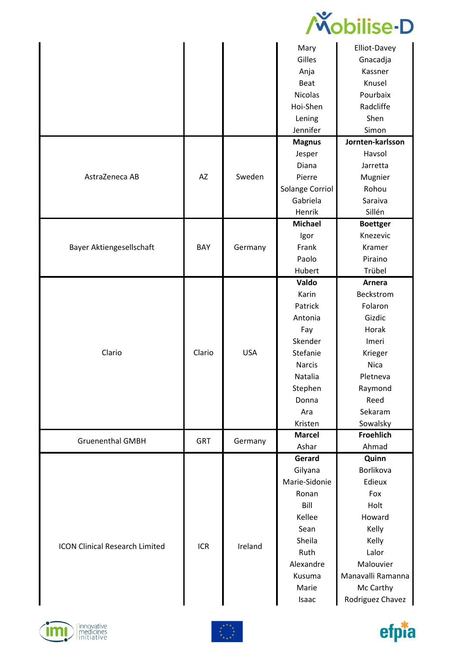

|                                       |            |            | Mary            | Elliot-Davey      |
|---------------------------------------|------------|------------|-----------------|-------------------|
|                                       |            |            | Gilles          | Gnacadja          |
|                                       |            |            | Anja            | Kassner           |
|                                       |            |            | Beat            | Knusel            |
|                                       |            |            | <b>Nicolas</b>  | Pourbaix          |
|                                       |            |            | Hoi-Shen        | Radcliffe         |
|                                       |            |            | Lening          | Shen              |
|                                       |            |            | Jennifer        | Simon             |
|                                       |            |            | <b>Magnus</b>   | Jornten-karlsson  |
|                                       |            |            | Jesper          | Havsol            |
|                                       |            |            | Diana           | Jarretta          |
| AstraZeneca AB                        | AZ         | Sweden     | Pierre          | Mugnier           |
|                                       |            |            | Solange Corriol | Rohou             |
|                                       |            |            | Gabriela        | Saraiva           |
|                                       |            |            | Henrik          | Sillén            |
|                                       |            |            | <b>Michael</b>  | <b>Boettger</b>   |
|                                       |            |            | Igor            | Knezevic          |
| Bayer Aktiengesellschaft              | BAY        | Germany    | Frank           | Kramer            |
|                                       |            |            | Paolo           | Piraino           |
|                                       |            |            | Hubert          | Trübel            |
|                                       |            |            | Valdo           | Arnera            |
|                                       |            |            | Karin           | Beckstrom         |
|                                       |            |            | Patrick         | Folaron           |
|                                       |            |            | Antonia         | Gizdic            |
|                                       |            |            | Fay             | Horak             |
|                                       |            |            | Skender         | Imeri             |
| Clario                                | Clario     | <b>USA</b> | Stefanie        | Krieger           |
|                                       |            |            | <b>Narcis</b>   | <b>Nica</b>       |
|                                       |            |            | Natalia         | Pletneva          |
|                                       |            |            | Stephen         | Raymond           |
|                                       |            |            | Donna           | Reed              |
|                                       |            |            | Ara             | Sekaram           |
|                                       |            |            | Kristen         | Sowalsky          |
| <b>Gruenenthal GMBH</b>               | <b>GRT</b> | Germany    | <b>Marcel</b>   | <b>Froehlich</b>  |
|                                       |            |            | Ashar           | Ahmad             |
|                                       |            |            | Gerard          | Quinn             |
|                                       |            |            | Gilyana         | Borlikova         |
|                                       |            |            | Marie-Sidonie   | Edieux            |
|                                       |            |            | Ronan           | Fox               |
|                                       |            |            | Bill            | Holt              |
|                                       |            |            | Kellee          | Howard            |
|                                       |            |            | Sean            | Kelly             |
| <b>ICON Clinical Research Limited</b> | <b>ICR</b> | Ireland    | Sheila          | Kelly             |
|                                       |            |            | Ruth            | Lalor             |
|                                       |            |            | Alexandre       | Malouvier         |
|                                       |            |            | Kusuma          | Manavalli Ramanna |
|                                       |            |            | Marie           | Mc Carthy         |
|                                       |            |            | Isaac           | Rodriguez Chavez  |